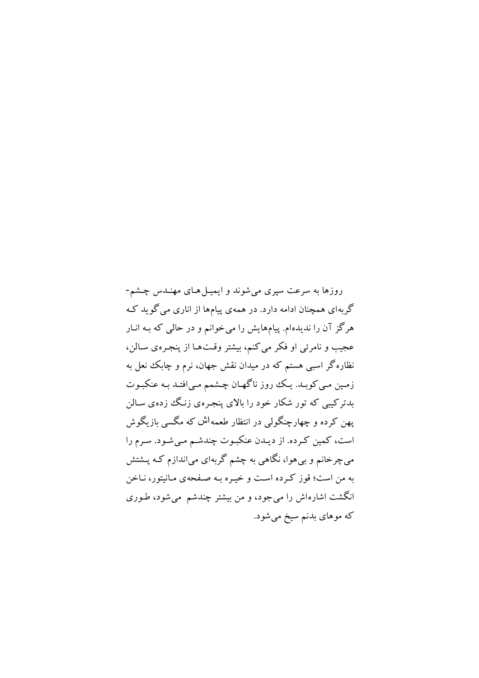روزها به سرعت سیری می شوند و ایمیل های مهندس چشم-گربهای همچنان ادامه دارد. در همهی پیامها از اناری می گو بد ک هرگز آن را ندیدهام. پیامهایش را میخوانم و در حالی که بـه انـار عجیب و نامرئی او فکر می کنم، بیشتر وقتها از پنجره ی سالن، نظاره گر اسبی هستم که در میدان نقش جهان، نرم و چابک نعل به زمین مے کویـد. یـک روز ناگھـان چـشمم مـی|فتـد یـه عنکیـوت بدترکیبی که تور شکار خود را بالای پنجره ی زنگ زده ی سالن پهن کرده و چهارچنگولی در انتظار طعمه<sup>ا</sup>ش که مگسی بازیگوش است، کمین کـرده. از دیـدن عنکبـوت چندشـم مـیشـود. سـرم را مي چرخانم و بي هوا، نگاهي به چشم گربهاي مي اندازم كـه پــشتش په من است؛ قوز که ده است و خسره په صفحهي مانيتور، نياخن انگشت اشارهاش را می جود، و من بیشتر چندشم میشود، طـوری که موهای بدنم سیخ میشود.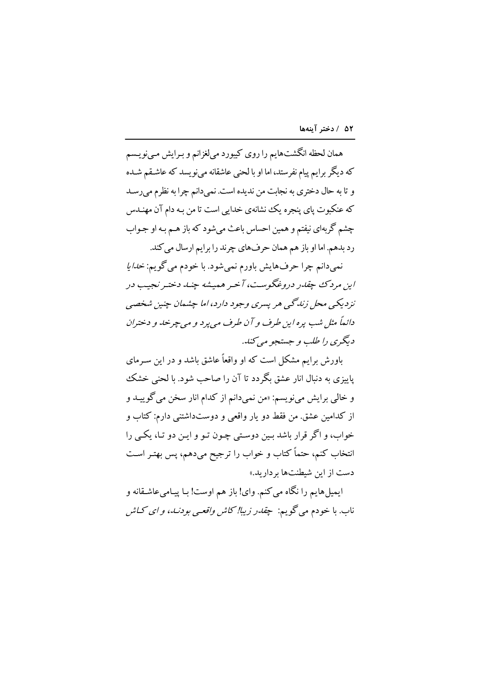همان لحظه انگشتهايم را روي كيبورد مي لغزانم و بـرايش مـينويـسم که دیگر برایم پیام نفرستد، اما او با لحنی عاشقانه میفویسد که عاشـقم شـده و تا به حال دختری به نجابت من ندیده است. نمیدانم چرا به نظرم میرسد که عنکبوت یای پنجره یک نشانهی خدایی است تا من بـه دام آن مهنــدس چشم گربهای نیفتم و همین احساس باعث می شود که باز هـم بـه او جـواب رد بدهم. اما او باز هم همان حرفهاي چرند را برايم ارسال مي كند.

نمي دانم چرا حرف هايش باورم نمي شود. با خودم مي گويم: *خدايا* این مرد ک چقلار دروغگوست، آخیر همیشه چند دختیر نجیب در نز دیکے ، محل زندگی هر پسری وجود دارد، اما چشمان چنین شخصی دائمهاً مثل شب پره این طرف و آن طرف مه پرد و می چرخه و دختران دیگری را طلب و جستجو می کند.

یاورش برایم مشکل است که او واقعاً عاشق باشد و در این سه مای پاییزی به دنبال انار عشق بگردد تا آن را صاحب شود. با لحنی خشک و خالبي برايش مينويسم: «من نميدانم از كدام انار سخن مي گوييـد و از کدامین عشق. من فقط دو یار واقعی و دوستداشتنی دارم: کتاب و خواب، و اگر قرار باشد بـین دوسـتی چـون تـو و ایـن دو تـا، یکـی را انتخاب کنم، حتماً کتاب و خواب را ترجیح میدهم، پس بهتـر اسـت دست از این شطنتها بر دار بد.»

ايميل هايم را نگاه مي كنم. واي! باز هم اوست! بـا پيـاميعاشـقانه و ناب. با خودم مي گويم: چ*قدر زيبا! كاش واقعي بودنيد، و اي كـاش*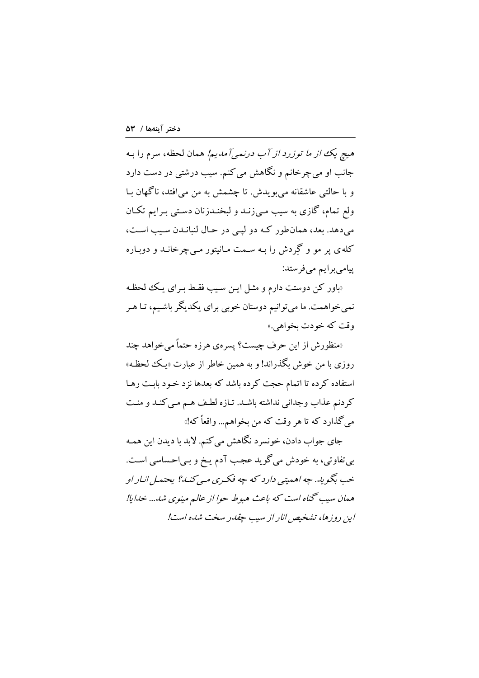هیچ یک از م*ا توزرد از آب درنمی آمدیم!* همان لحظه، سرم را بـه جانب او مي چرخانم و نگاهش مي کنم. سيب درشتي در دست دارد و با حالتي عاشقانه مي بويدش. تا چشمش به من مي افتد، ناگهان بـا ولع تمام، گازی به سیب مـیiزـد و لبخـددزنان دسـتـی بـرایم تکـان مي دهد. بعد، همان طور كـه دو ليـي در حـال لنبانـدن سـيب اسـت، کله ی یر مو و گردش را بـه سـمت مـانیتور مـیچرخانـد و دوبـاره ییامی برایم می فرستد:

«باور کن دوستت دارم و مثـل ایـن سـیب فقـط بـرای یـک للحظـه نمیخواهمت. ما میتوانیم دوستان خوبی برای یکدیگر باشیم، تـا هـر وقت که خودت بخواهي.»

«منظورش از این حرف چیست؟ پسره ی هرزه حتماً می خواهد چند روزي با من خوش بگذراند! و به همين خاطر از عبارت «پـک لحظـه» استفاده کرده تا اتمام حجت کرده باشد که بعدها نزد خـود بابـت رهـا كردنم عذاب وجداني نداشته باشد. تـازه لطـف هـم مـي كنـد و منـت مي گذارد كه تا هر وقت كه من بخواهم... واقعاً كه!»

جاي جواب دادن، خونسرد نگاهش مي كنم. لابد با ديدن اين همـه بی تفاوتی، به خودش می گوید عجب آدم یـخ و بـیاحـساسی اسـت. خب بگو به. چه اهمیتی دارد که چه فکیری مبی کنید؟ بحتمل انبار او همان سيب گناه است كه باعث هبوط حوا از عالم مینوی شد... خدایا! این روزها، تشخیص انار از سب چقدر سخت شده است!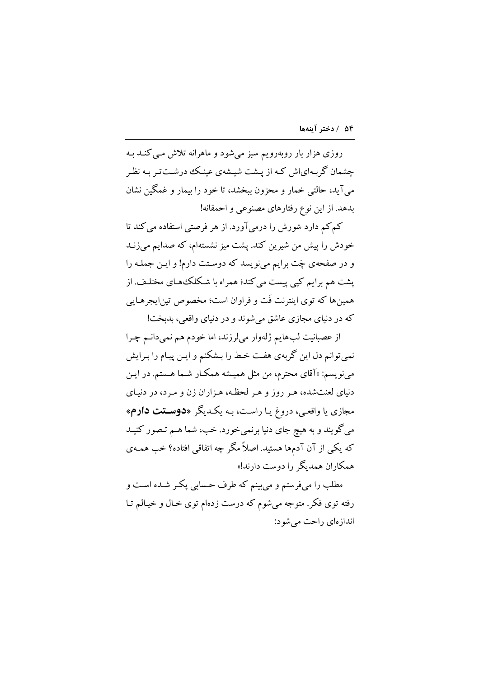روزی هزار بار روبهرویم سبز میشود و ماهرانه تلاش مبی کنـد بـه چشمان گر پهایاش کـه از پیشت شیـشهی عینـک درشـتتر پـه نظـر مي آيد، حالتي خمار و محزون بيخشد، تا خود را بيمار و غمگين نشان بدهد. از این نوع رفتارهای مصنوعی و احمقانه!

کم کم دارد شورش را درمیآورد. از هر فرصتی استفاده می کند تا خودش را پیش من شیرین کند. یشت میز نشستهام، که صدایم می زنـد و در صفحهی چَت برایم می نویسد که دوستت دارم! و ایـن جملـه را یشت هم برایم کیی پیست می کند؛ همراه با شکلکههای مختلـف. از همینها که توی اینترنت فَت و فراوان است؛ مخصوص تین|یجرهـایی که در دنیای مجازی عاشق می شوند و در دنیای واقعی، بدیخت!

از عصبانیت لبهایم ژلهوار میلرزند، اما خودم هم نمیدانـم چـرا نمي توانم دل اين گربهي هفت خط را بـشكنم و ايـن پيـام را بـرايش مینویسم: «آقای محترم، من مثل همیشه همکـار شـما هـستم. در ایـن دنیای لعنتشده، هر روز و هر لحظه، هـزاران زن و مـرد، در دنیـای مجازی یا واقعـی، دروغ یـا راسـت، بـه یکـدیگر «**دوسـتت دارم**» مي گويند و به هيچ جاي دنيا برنمي خورد. خب، شما هـم تـصور كنيـد که یکی از آن آدمها هستید. اصلاً مگر چه اتفاقی افتاده؟ خب همـهی همکاران همدیگر را دوست دارند!»

مطلب را میفرستم و می بینم که طرف حسابی پکـر شـده اسـت و رفته توی فکر. متوجه می شوم که درست زدهام توی خـال و خیـالم تـا اندازهای راحت می شود: